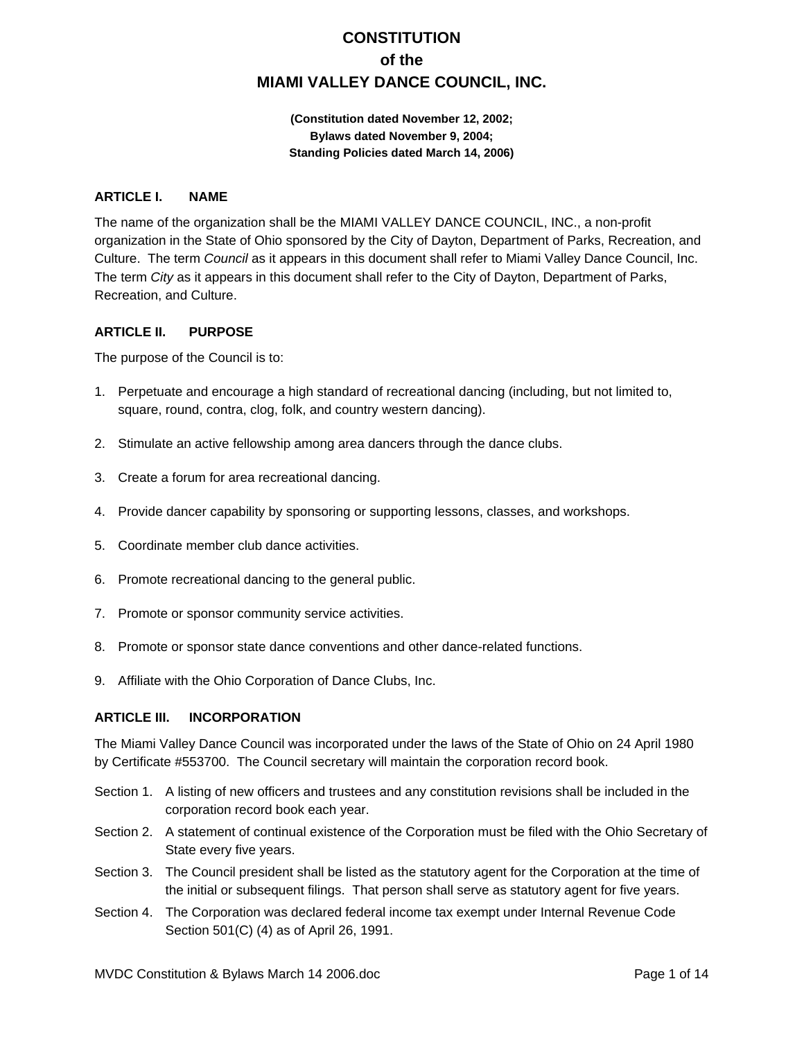## **CONSTITUTION of the MIAMI VALLEY DANCE COUNCIL, INC.**

**(Constitution dated November 12, 2002; Bylaws dated November 9, 2004; Standing Policies dated March 14, 2006)** 

### **ARTICLE I. NAME**

The name of the organization shall be the MIAMI VALLEY DANCE COUNCIL, INC., a non-profit organization in the State of Ohio sponsored by the City of Dayton, Department of Parks, Recreation, and Culture. The term *Council* as it appears in this document shall refer to Miami Valley Dance Council, Inc. The term *City* as it appears in this document shall refer to the City of Dayton, Department of Parks, Recreation, and Culture.

### **ARTICLE II. PURPOSE**

The purpose of the Council is to:

- 1. Perpetuate and encourage a high standard of recreational dancing (including, but not limited to, square, round, contra, clog, folk, and country western dancing).
- 2. Stimulate an active fellowship among area dancers through the dance clubs.
- 3. Create a forum for area recreational dancing.
- 4. Provide dancer capability by sponsoring or supporting lessons, classes, and workshops.
- 5. Coordinate member club dance activities.
- 6. Promote recreational dancing to the general public.
- 7. Promote or sponsor community service activities.
- 8. Promote or sponsor state dance conventions and other dance-related functions.
- 9. Affiliate with the Ohio Corporation of Dance Clubs, Inc.

#### **ARTICLE III. INCORPORATION**

The Miami Valley Dance Council was incorporated under the laws of the State of Ohio on 24 April 1980 by Certificate #553700. The Council secretary will maintain the corporation record book.

- Section 1. A listing of new officers and trustees and any constitution revisions shall be included in the corporation record book each year.
- Section 2. A statement of continual existence of the Corporation must be filed with the Ohio Secretary of State every five years.
- Section 3. The Council president shall be listed as the statutory agent for the Corporation at the time of the initial or subsequent filings. That person shall serve as statutory agent for five years.
- Section 4. The Corporation was declared federal income tax exempt under Internal Revenue Code Section 501(C) (4) as of April 26, 1991.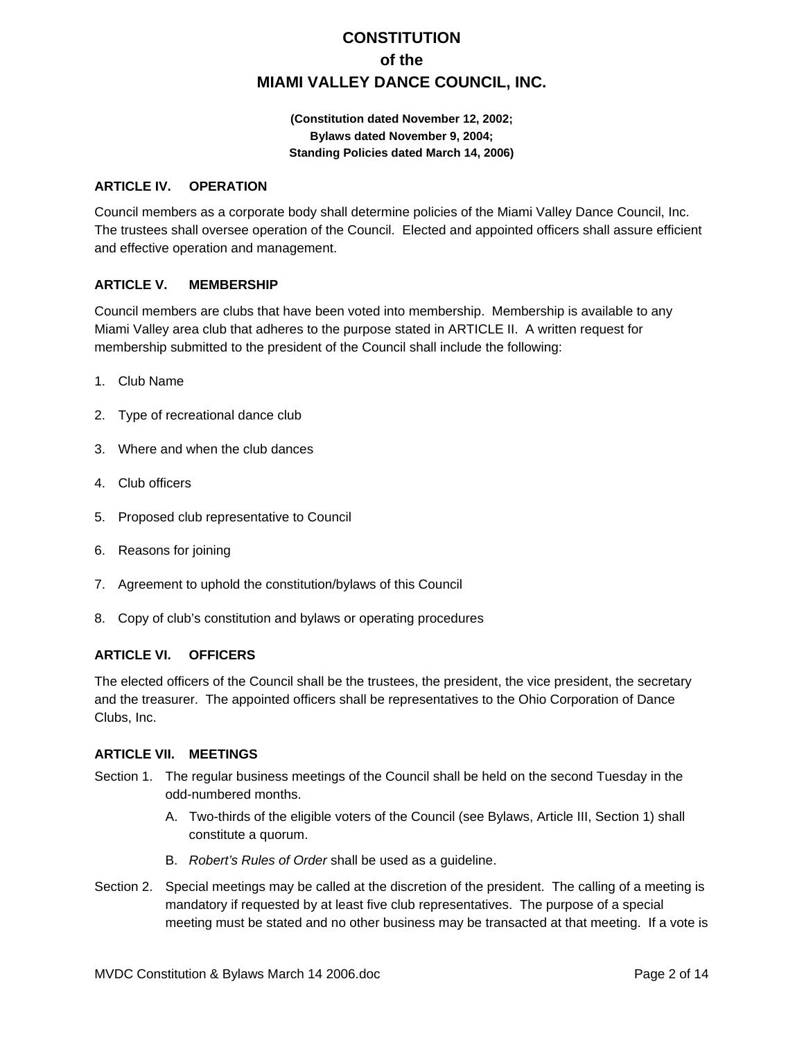## **CONSTITUTION of the MIAMI VALLEY DANCE COUNCIL, INC.**

### **(Constitution dated November 12, 2002; Bylaws dated November 9, 2004; Standing Policies dated March 14, 2006)**

#### **ARTICLE IV. OPERATION**

Council members as a corporate body shall determine policies of the Miami Valley Dance Council, Inc. The trustees shall oversee operation of the Council. Elected and appointed officers shall assure efficient and effective operation and management.

### **ARTICLE V. MEMBERSHIP**

Council members are clubs that have been voted into membership. Membership is available to any Miami Valley area club that adheres to the purpose stated in ARTICLE II. A written request for membership submitted to the president of the Council shall include the following:

- 1. Club Name
- 2. Type of recreational dance club
- 3. Where and when the club dances
- 4. Club officers
- 5. Proposed club representative to Council
- 6. Reasons for joining
- 7. Agreement to uphold the constitution/bylaws of this Council
- 8. Copy of club's constitution and bylaws or operating procedures

#### **ARTICLE VI. OFFICERS**

The elected officers of the Council shall be the trustees, the president, the vice president, the secretary and the treasurer. The appointed officers shall be representatives to the Ohio Corporation of Dance Clubs, Inc.

### **ARTICLE VII. MEETINGS**

- Section 1. The regular business meetings of the Council shall be held on the second Tuesday in the odd-numbered months.
	- A. Two-thirds of the eligible voters of the Council (see Bylaws, Article III, Section 1) shall constitute a quorum.
	- B. *Robert's Rules of Order* shall be used as a guideline.
- Section 2. Special meetings may be called at the discretion of the president. The calling of a meeting is mandatory if requested by at least five club representatives. The purpose of a special meeting must be stated and no other business may be transacted at that meeting. If a vote is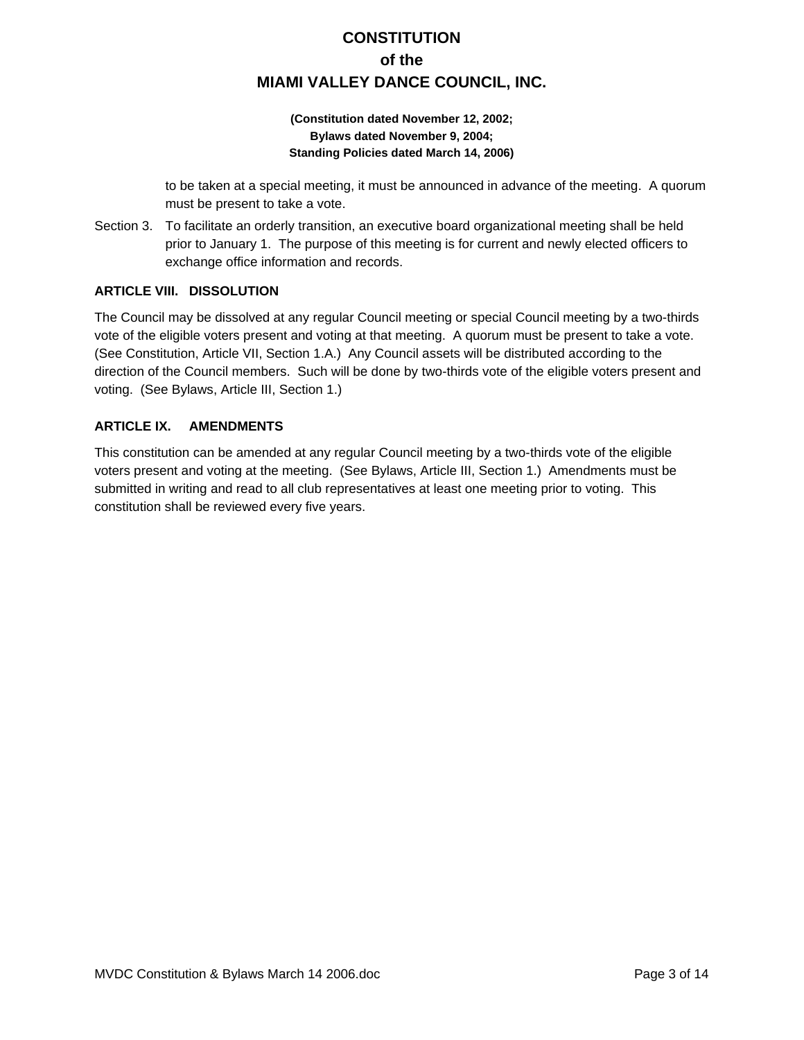## **CONSTITUTION of the MIAMI VALLEY DANCE COUNCIL, INC.**

## **(Constitution dated November 12, 2002; Bylaws dated November 9, 2004; Standing Policies dated March 14, 2006)**

to be taken at a special meeting, it must be announced in advance of the meeting. A quorum must be present to take a vote.

Section 3. To facilitate an orderly transition, an executive board organizational meeting shall be held prior to January 1. The purpose of this meeting is for current and newly elected officers to exchange office information and records.

### **ARTICLE VIII. DISSOLUTION**

The Council may be dissolved at any regular Council meeting or special Council meeting by a two-thirds vote of the eligible voters present and voting at that meeting. A quorum must be present to take a vote. (See Constitution, Article VII, Section 1.A.) Any Council assets will be distributed according to the direction of the Council members. Such will be done by two-thirds vote of the eligible voters present and voting. (See Bylaws, Article III, Section 1.)

## **ARTICLE IX. AMENDMENTS**

This constitution can be amended at any regular Council meeting by a two-thirds vote of the eligible voters present and voting at the meeting. (See Bylaws, Article III, Section 1.) Amendments must be submitted in writing and read to all club representatives at least one meeting prior to voting. This constitution shall be reviewed every five years.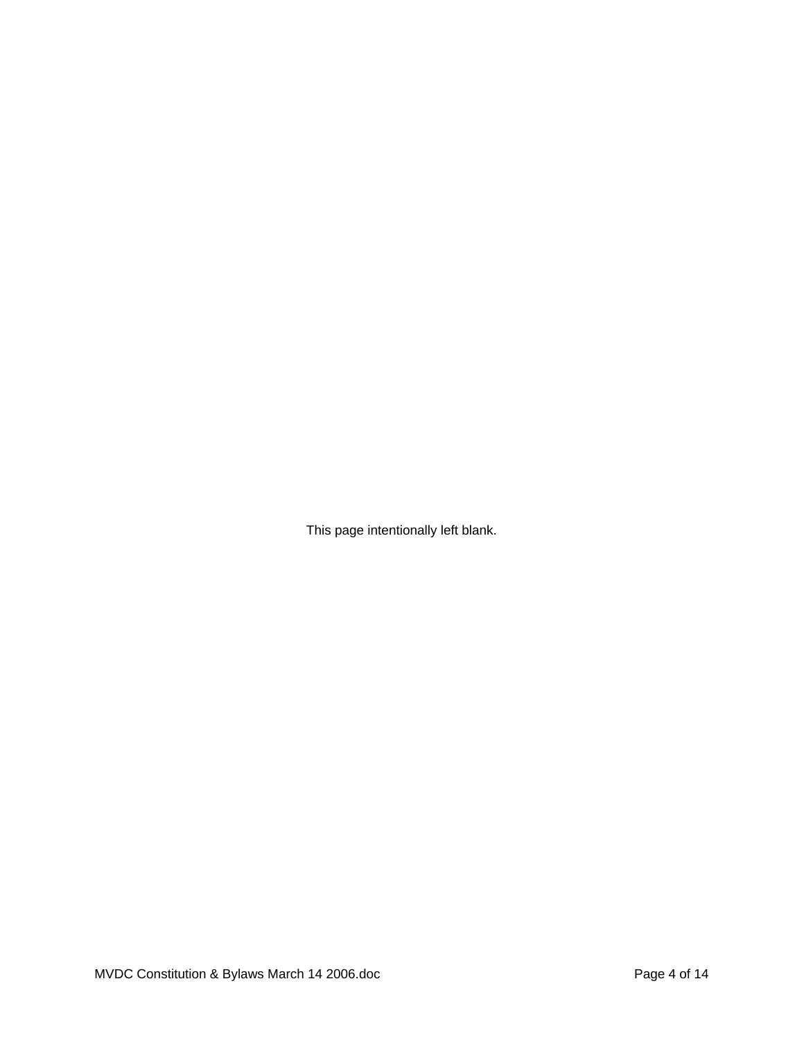This page intentionally left blank.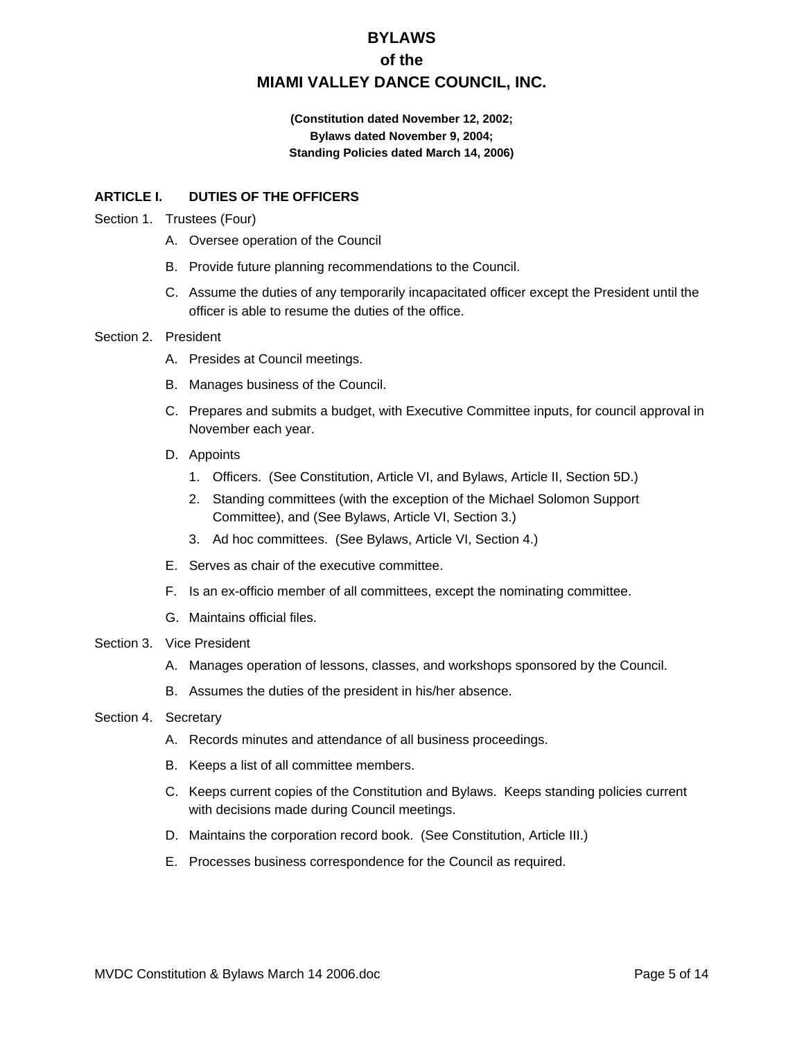**(Constitution dated November 12, 2002; Bylaws dated November 9, 2004; Standing Policies dated March 14, 2006)** 

### **ARTICLE I. DUTIES OF THE OFFICERS**

#### Section 1. Trustees (Four)

- A. Oversee operation of the Council
- B. Provide future planning recommendations to the Council.
- C. Assume the duties of any temporarily incapacitated officer except the President until the officer is able to resume the duties of the office.

#### Section 2. President

- A. Presides at Council meetings.
- B. Manages business of the Council.
- C. Prepares and submits a budget, with Executive Committee inputs, for council approval in November each year.
- D. Appoints
	- 1. Officers. (See Constitution, Article VI, and Bylaws, Article II, Section 5D.)
	- 2. Standing committees (with the exception of the Michael Solomon Support Committee), and (See Bylaws, Article VI, Section 3.)
	- 3. Ad hoc committees. (See Bylaws, Article VI, Section 4.)
- E. Serves as chair of the executive committee.
- F. Is an ex-officio member of all committees, except the nominating committee.
- G. Maintains official files.
- Section 3. Vice President
	- A. Manages operation of lessons, classes, and workshops sponsored by the Council.
	- B. Assumes the duties of the president in his/her absence.
- Section 4. Secretary
	- A. Records minutes and attendance of all business proceedings.
	- B. Keeps a list of all committee members.
	- C. Keeps current copies of the Constitution and Bylaws. Keeps standing policies current with decisions made during Council meetings.
	- D. Maintains the corporation record book. (See Constitution, Article III.)
	- E. Processes business correspondence for the Council as required.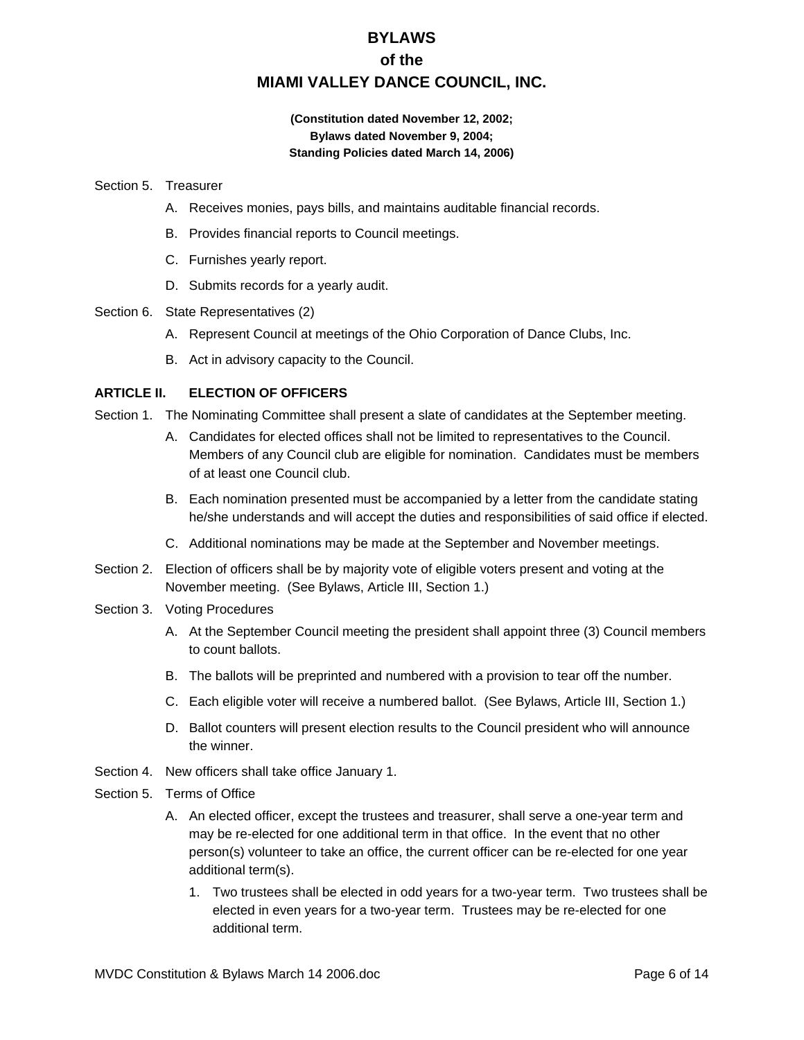## **(Constitution dated November 12, 2002; Bylaws dated November 9, 2004; Standing Policies dated March 14, 2006)**

#### Section 5. Treasurer

- A. Receives monies, pays bills, and maintains auditable financial records.
- B. Provides financial reports to Council meetings.
- C. Furnishes yearly report.
- D. Submits records for a yearly audit.

#### Section 6. State Representatives (2)

- A. Represent Council at meetings of the Ohio Corporation of Dance Clubs, Inc.
- B. Act in advisory capacity to the Council.

## **ARTICLE II. ELECTION OF OFFICERS**

- Section 1. The Nominating Committee shall present a slate of candidates at the September meeting.
	- A. Candidates for elected offices shall not be limited to representatives to the Council. Members of any Council club are eligible for nomination. Candidates must be members of at least one Council club.
	- B. Each nomination presented must be accompanied by a letter from the candidate stating he/she understands and will accept the duties and responsibilities of said office if elected.
	- C. Additional nominations may be made at the September and November meetings.
- Section 2. Election of officers shall be by majority vote of eligible voters present and voting at the November meeting. (See Bylaws, Article III, Section 1.)
- Section 3. Voting Procedures
	- A. At the September Council meeting the president shall appoint three (3) Council members to count ballots.
	- B. The ballots will be preprinted and numbered with a provision to tear off the number.
	- C. Each eligible voter will receive a numbered ballot. (See Bylaws, Article III, Section 1.)
	- D. Ballot counters will present election results to the Council president who will announce the winner.
- Section 4. New officers shall take office January 1.
- Section 5. Terms of Office
	- A. An elected officer, except the trustees and treasurer, shall serve a one-year term and may be re-elected for one additional term in that office. In the event that no other person(s) volunteer to take an office, the current officer can be re-elected for one year additional term(s).
		- 1. Two trustees shall be elected in odd years for a two-year term. Two trustees shall be elected in even years for a two-year term. Trustees may be re-elected for one additional term.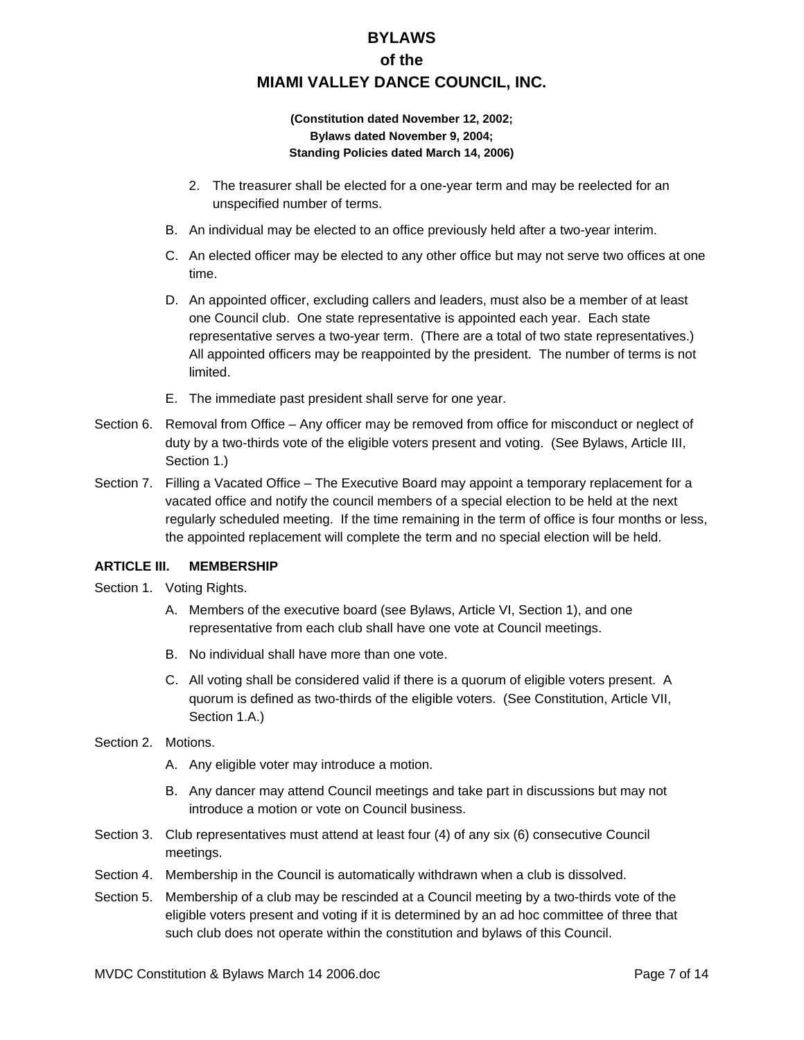## **(Constitution dated November 12, 2002; Bylaws dated November 9, 2004; Standing Policies dated March 14, 2006)**

- 2. The treasurer shall be elected for a one-year term and may be reelected for an unspecified number of terms.
- B. An individual may be elected to an office previously held after a two-year interim.
- C. An elected officer may be elected to any other office but may not serve two offices at one time.
- D. An appointed officer, excluding callers and leaders, must also be a member of at least one Council club. One state representative is appointed each year. Each state representative serves a two-year term. (There are a total of two state representatives.) All appointed officers may be reappointed by the president. The number of terms is not limited.
- E. The immediate past president shall serve for one year.
- Section 6. Removal from Office Any officer may be removed from office for misconduct or neglect of duty by a two-thirds vote of the eligible voters present and voting. (See Bylaws, Article III, Section 1.)
- Section 7. Filling a Vacated Office The Executive Board may appoint a temporary replacement for a vacated office and notify the council members of a special election to be held at the next regularly scheduled meeting. If the time remaining in the term of office is four months or less, the appointed replacement will complete the term and no special election will be held.

#### **ARTICLE III. MEMBERSHIP**

- Section 1. Voting Rights.
	- A. Members of the executive board (see Bylaws, Article VI, Section 1), and one representative from each club shall have one vote at Council meetings.
	- B. No individual shall have more than one vote.
	- C. All voting shall be considered valid if there is a quorum of eligible voters present. A quorum is defined as two-thirds of the eligible voters. (See Constitution, Article VII, Section 1.A.)

### Section 2. Motions.

- A. Any eligible voter may introduce a motion.
- B. Any dancer may attend Council meetings and take part in discussions but may not introduce a motion or vote on Council business.
- Section 3. Club representatives must attend at least four (4) of any six (6) consecutive Council meetings.
- Section 4. Membership in the Council is automatically withdrawn when a club is dissolved.
- Section 5. Membership of a club may be rescinded at a Council meeting by a two-thirds vote of the eligible voters present and voting if it is determined by an ad hoc committee of three that such club does not operate within the constitution and bylaws of this Council.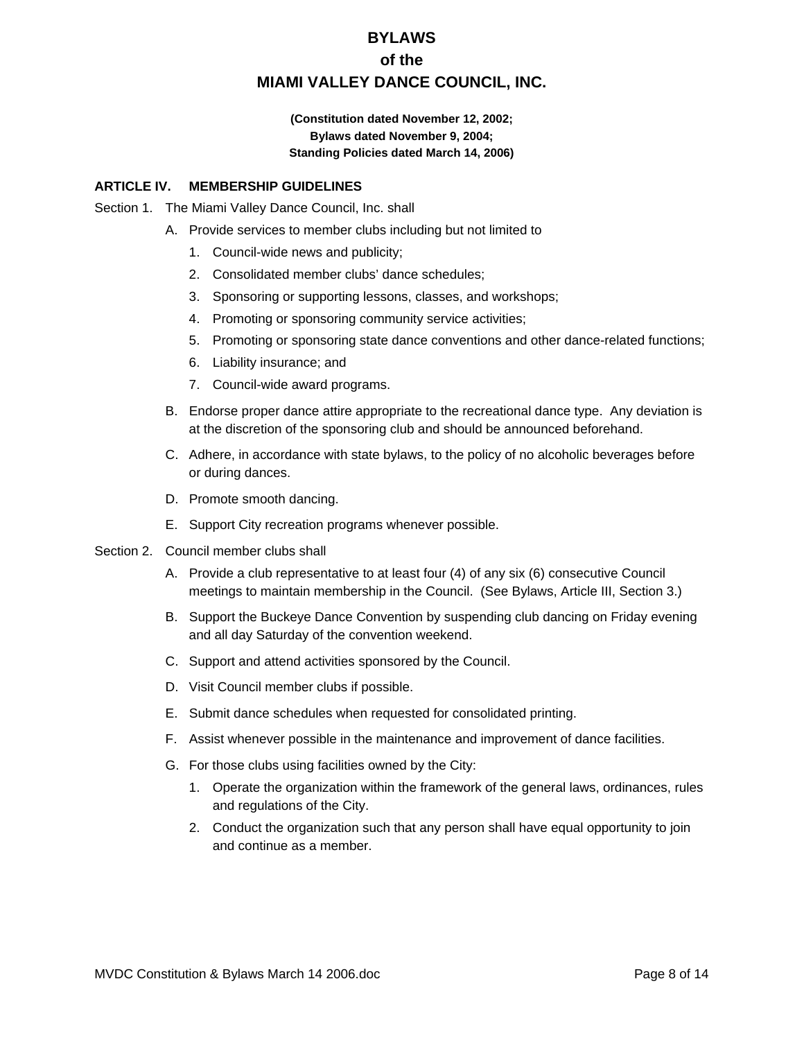## **(Constitution dated November 12, 2002; Bylaws dated November 9, 2004; Standing Policies dated March 14, 2006)**

#### **ARTICLE IV. MEMBERSHIP GUIDELINES**

- Section 1. The Miami Valley Dance Council, Inc. shall
	- A. Provide services to member clubs including but not limited to
		- 1. Council-wide news and publicity;
		- 2. Consolidated member clubs' dance schedules;
		- 3. Sponsoring or supporting lessons, classes, and workshops;
		- 4. Promoting or sponsoring community service activities;
		- 5. Promoting or sponsoring state dance conventions and other dance-related functions;
		- 6. Liability insurance; and
		- 7. Council-wide award programs.
	- B. Endorse proper dance attire appropriate to the recreational dance type. Any deviation is at the discretion of the sponsoring club and should be announced beforehand.
	- C. Adhere, in accordance with state bylaws, to the policy of no alcoholic beverages before or during dances.
	- D. Promote smooth dancing.
	- E. Support City recreation programs whenever possible.
- Section 2. Council member clubs shall
	- A. Provide a club representative to at least four (4) of any six (6) consecutive Council meetings to maintain membership in the Council. (See Bylaws, Article III, Section 3.)
	- B. Support the Buckeye Dance Convention by suspending club dancing on Friday evening and all day Saturday of the convention weekend.
	- C. Support and attend activities sponsored by the Council.
	- D. Visit Council member clubs if possible.
	- E. Submit dance schedules when requested for consolidated printing.
	- F. Assist whenever possible in the maintenance and improvement of dance facilities.
	- G. For those clubs using facilities owned by the City:
		- 1. Operate the organization within the framework of the general laws, ordinances, rules and regulations of the City.
		- 2. Conduct the organization such that any person shall have equal opportunity to join and continue as a member.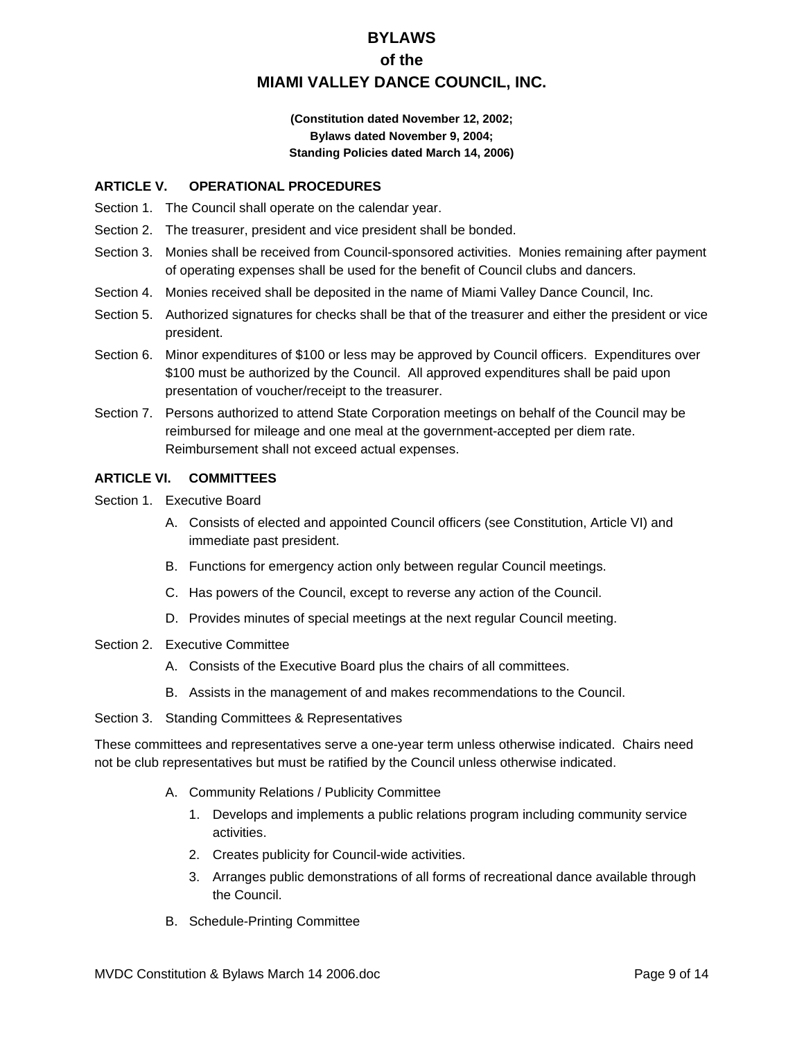## **(Constitution dated November 12, 2002; Bylaws dated November 9, 2004; Standing Policies dated March 14, 2006)**

#### **ARTICLE V. OPERATIONAL PROCEDURES**

- Section 1. The Council shall operate on the calendar year.
- Section 2. The treasurer, president and vice president shall be bonded.
- Section 3. Monies shall be received from Council-sponsored activities. Monies remaining after payment of operating expenses shall be used for the benefit of Council clubs and dancers.
- Section 4. Monies received shall be deposited in the name of Miami Valley Dance Council, Inc.
- Section 5. Authorized signatures for checks shall be that of the treasurer and either the president or vice president.
- Section 6. Minor expenditures of \$100 or less may be approved by Council officers. Expenditures over \$100 must be authorized by the Council. All approved expenditures shall be paid upon presentation of voucher/receipt to the treasurer.
- Section 7. Persons authorized to attend State Corporation meetings on behalf of the Council may be reimbursed for mileage and one meal at the government-accepted per diem rate. Reimbursement shall not exceed actual expenses.

### **ARTICLE VI. COMMITTEES**

### Section 1. Executive Board

- A. Consists of elected and appointed Council officers (see Constitution, Article VI) and immediate past president.
- B. Functions for emergency action only between regular Council meetings.
- C. Has powers of the Council, except to reverse any action of the Council.
- D. Provides minutes of special meetings at the next regular Council meeting.
- Section 2. Executive Committee
	- A. Consists of the Executive Board plus the chairs of all committees.
	- B. Assists in the management of and makes recommendations to the Council.
- Section 3. Standing Committees & Representatives

These committees and representatives serve a one-year term unless otherwise indicated. Chairs need not be club representatives but must be ratified by the Council unless otherwise indicated.

- A. Community Relations / Publicity Committee
	- 1. Develops and implements a public relations program including community service activities.
	- 2. Creates publicity for Council-wide activities.
	- 3. Arranges public demonstrations of all forms of recreational dance available through the Council.
- B. Schedule-Printing Committee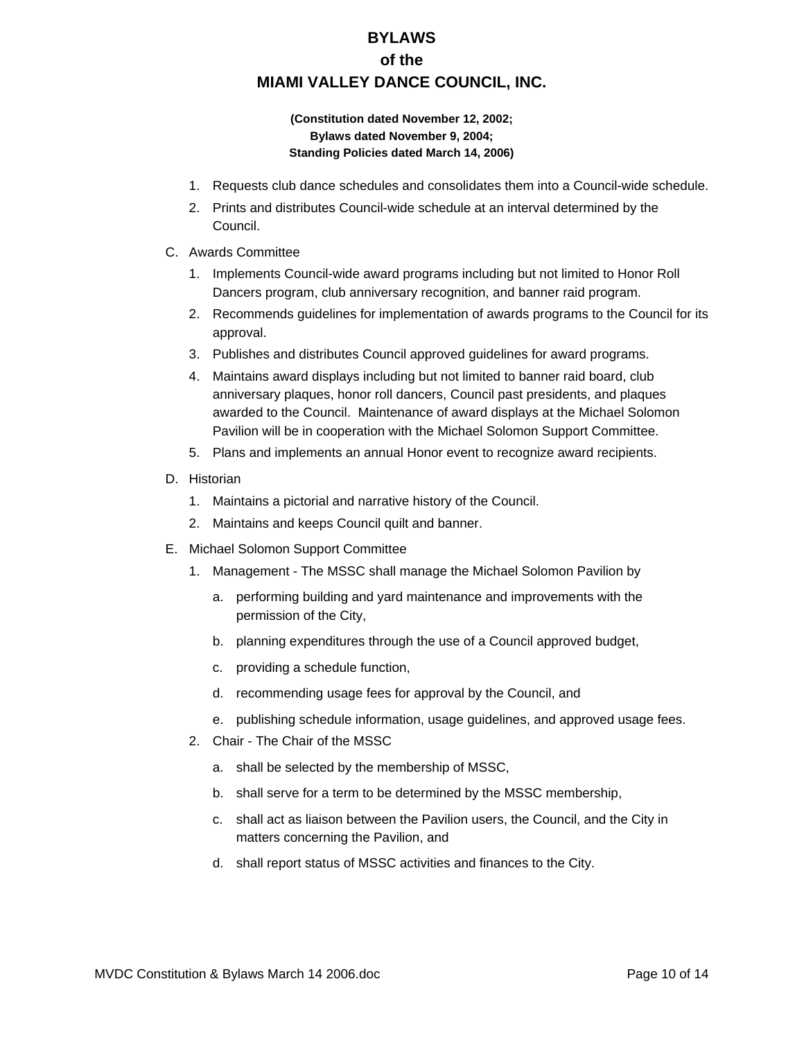## **(Constitution dated November 12, 2002; Bylaws dated November 9, 2004; Standing Policies dated March 14, 2006)**

- 1. Requests club dance schedules and consolidates them into a Council-wide schedule.
- 2. Prints and distributes Council-wide schedule at an interval determined by the Council.
- C. Awards Committee
	- 1. Implements Council-wide award programs including but not limited to Honor Roll Dancers program, club anniversary recognition, and banner raid program.
	- 2. Recommends guidelines for implementation of awards programs to the Council for its approval.
	- 3. Publishes and distributes Council approved guidelines for award programs.
	- 4. Maintains award displays including but not limited to banner raid board, club anniversary plaques, honor roll dancers, Council past presidents, and plaques awarded to the Council. Maintenance of award displays at the Michael Solomon Pavilion will be in cooperation with the Michael Solomon Support Committee.
	- 5. Plans and implements an annual Honor event to recognize award recipients.
- D. Historian
	- 1. Maintains a pictorial and narrative history of the Council.
	- 2. Maintains and keeps Council quilt and banner.
- E. Michael Solomon Support Committee
	- 1. Management The MSSC shall manage the Michael Solomon Pavilion by
		- a. performing building and yard maintenance and improvements with the permission of the City,
		- b. planning expenditures through the use of a Council approved budget,
		- c. providing a schedule function,
		- d. recommending usage fees for approval by the Council, and
		- e. publishing schedule information, usage guidelines, and approved usage fees.
	- 2. Chair The Chair of the MSSC
		- a. shall be selected by the membership of MSSC,
		- b. shall serve for a term to be determined by the MSSC membership,
		- c. shall act as liaison between the Pavilion users, the Council, and the City in matters concerning the Pavilion, and
		- d. shall report status of MSSC activities and finances to the City.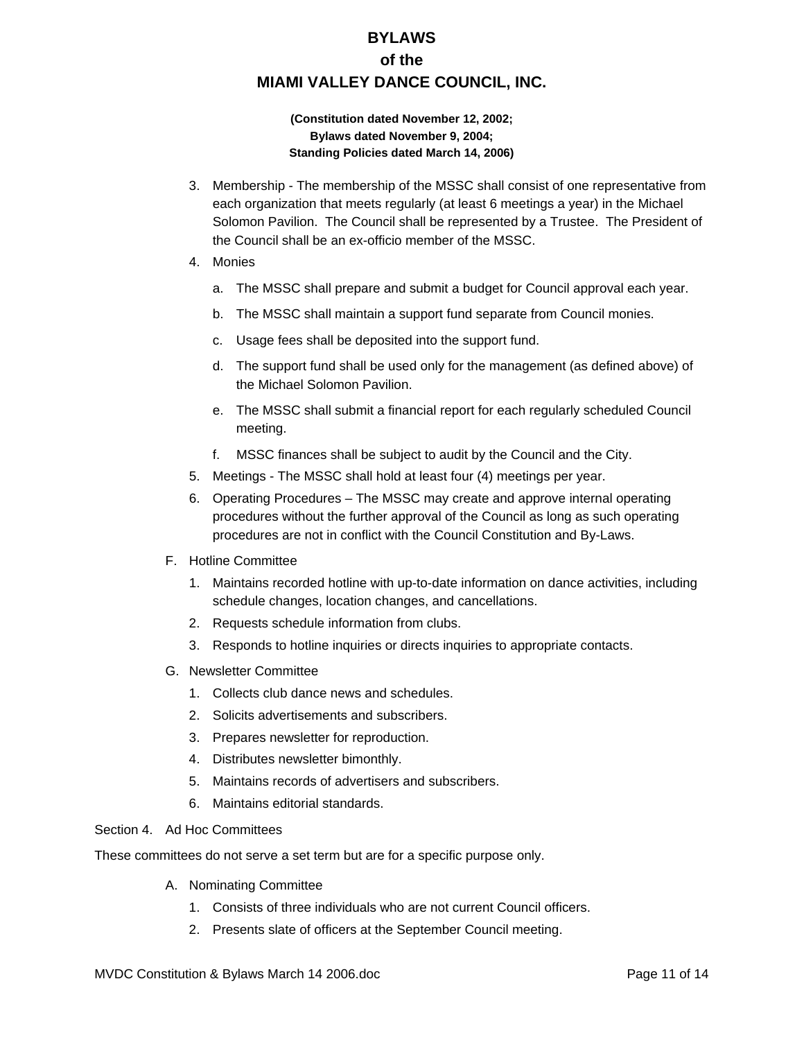**(Constitution dated November 12, 2002; Bylaws dated November 9, 2004; Standing Policies dated March 14, 2006)** 

- 3. Membership The membership of the MSSC shall consist of one representative from each organization that meets regularly (at least 6 meetings a year) in the Michael Solomon Pavilion. The Council shall be represented by a Trustee. The President of the Council shall be an ex-officio member of the MSSC.
- 4. Monies
	- a. The MSSC shall prepare and submit a budget for Council approval each year.
	- b. The MSSC shall maintain a support fund separate from Council monies.
	- c. Usage fees shall be deposited into the support fund.
	- d. The support fund shall be used only for the management (as defined above) of the Michael Solomon Pavilion.
	- e. The MSSC shall submit a financial report for each regularly scheduled Council meeting.
	- f. MSSC finances shall be subject to audit by the Council and the City.
- 5. Meetings The MSSC shall hold at least four (4) meetings per year.
- 6. Operating Procedures The MSSC may create and approve internal operating procedures without the further approval of the Council as long as such operating procedures are not in conflict with the Council Constitution and By-Laws.
- F. Hotline Committee
	- 1. Maintains recorded hotline with up-to-date information on dance activities, including schedule changes, location changes, and cancellations.
	- 2. Requests schedule information from clubs.
	- 3. Responds to hotline inquiries or directs inquiries to appropriate contacts.
- G. Newsletter Committee
	- 1. Collects club dance news and schedules.
	- 2. Solicits advertisements and subscribers.
	- 3. Prepares newsletter for reproduction.
	- 4. Distributes newsletter bimonthly.
	- 5. Maintains records of advertisers and subscribers.
	- 6. Maintains editorial standards.

#### Section 4. Ad Hoc Committees

These committees do not serve a set term but are for a specific purpose only.

- A. Nominating Committee
	- 1. Consists of three individuals who are not current Council officers.
	- 2. Presents slate of officers at the September Council meeting.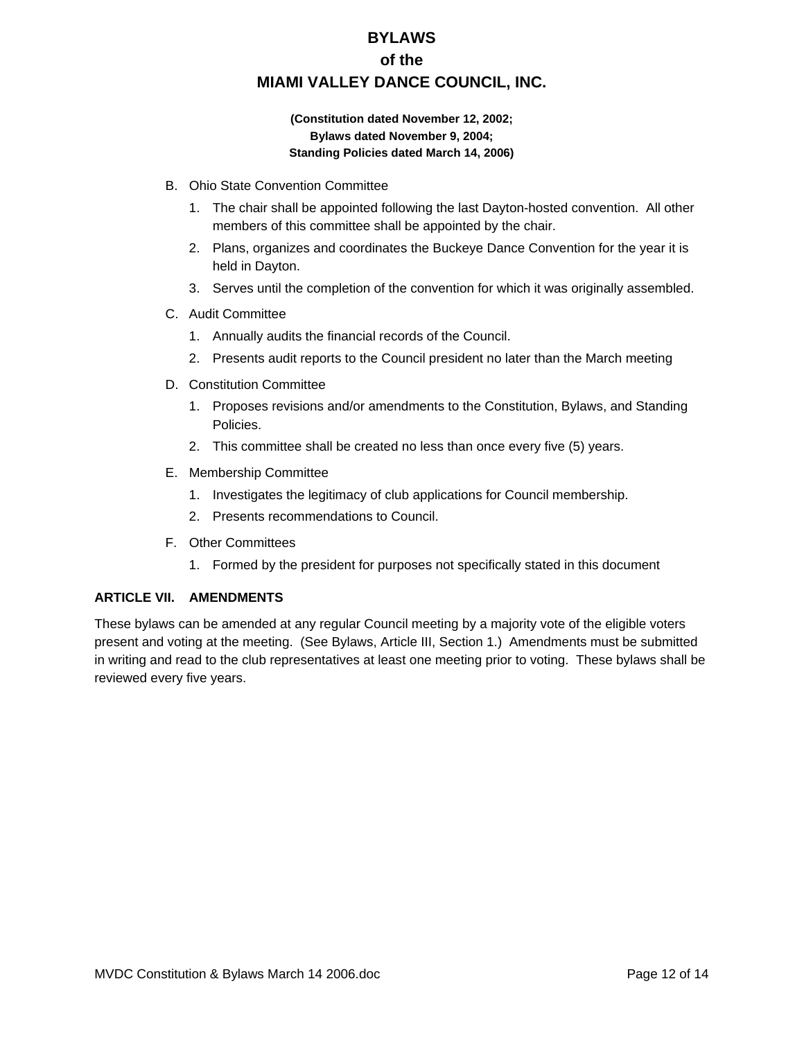## **(Constitution dated November 12, 2002; Bylaws dated November 9, 2004; Standing Policies dated March 14, 2006)**

- B. Ohio State Convention Committee
	- 1. The chair shall be appointed following the last Dayton-hosted convention. All other members of this committee shall be appointed by the chair.
	- 2. Plans, organizes and coordinates the Buckeye Dance Convention for the year it is held in Dayton.
	- 3. Serves until the completion of the convention for which it was originally assembled.
- C. Audit Committee
	- 1. Annually audits the financial records of the Council.
	- 2. Presents audit reports to the Council president no later than the March meeting
- D. Constitution Committee
	- 1. Proposes revisions and/or amendments to the Constitution, Bylaws, and Standing Policies.
	- 2. This committee shall be created no less than once every five (5) years.
- E. Membership Committee
	- 1. Investigates the legitimacy of club applications for Council membership.
	- 2. Presents recommendations to Council.
- F. Other Committees
	- 1. Formed by the president for purposes not specifically stated in this document

#### **ARTICLE VII. AMENDMENTS**

These bylaws can be amended at any regular Council meeting by a majority vote of the eligible voters present and voting at the meeting. (See Bylaws, Article III, Section 1.) Amendments must be submitted in writing and read to the club representatives at least one meeting prior to voting. These bylaws shall be reviewed every five years.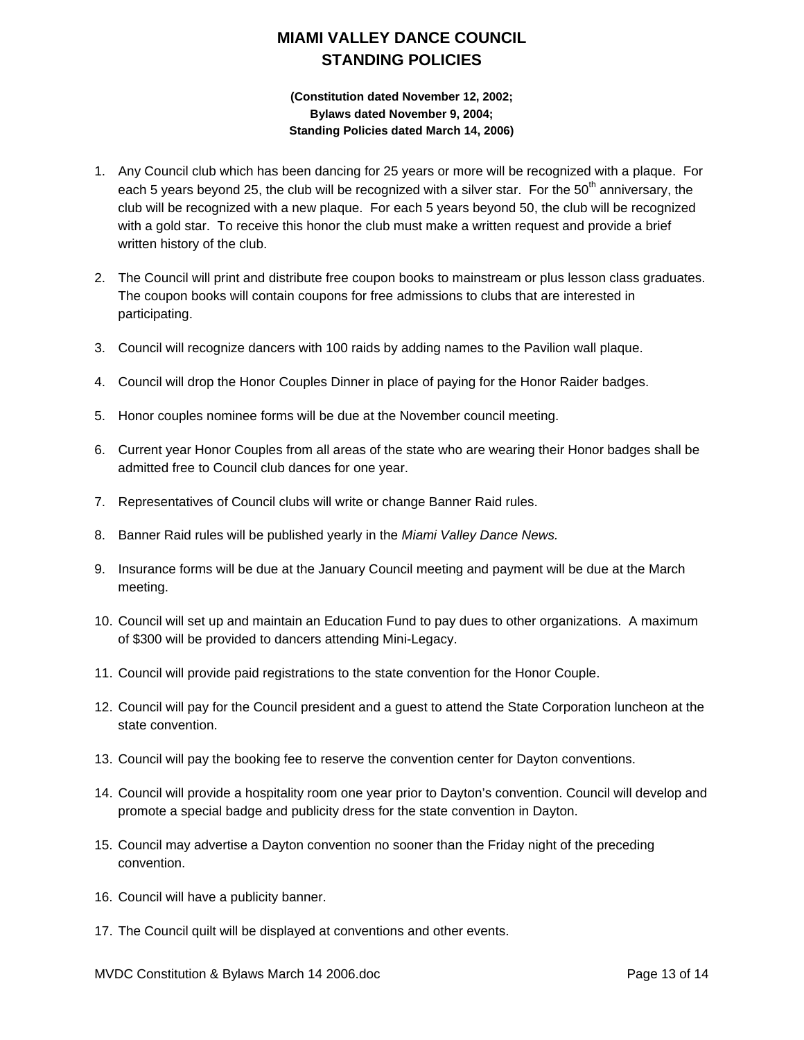# **MIAMI VALLEY DANCE COUNCIL STANDING POLICIES**

## **(Constitution dated November 12, 2002; Bylaws dated November 9, 2004; Standing Policies dated March 14, 2006)**

- 1. Any Council club which has been dancing for 25 years or more will be recognized with a plaque. For each 5 years beyond 25, the club will be recognized with a silver star. For the 50<sup>th</sup> anniversary, the club will be recognized with a new plaque. For each 5 years beyond 50, the club will be recognized with a gold star. To receive this honor the club must make a written request and provide a brief written history of the club.
- 2. The Council will print and distribute free coupon books to mainstream or plus lesson class graduates. The coupon books will contain coupons for free admissions to clubs that are interested in participating.
- 3. Council will recognize dancers with 100 raids by adding names to the Pavilion wall plaque.
- 4. Council will drop the Honor Couples Dinner in place of paying for the Honor Raider badges.
- 5. Honor couples nominee forms will be due at the November council meeting.
- 6. Current year Honor Couples from all areas of the state who are wearing their Honor badges shall be admitted free to Council club dances for one year.
- 7. Representatives of Council clubs will write or change Banner Raid rules.
- 8. Banner Raid rules will be published yearly in the *Miami Valley Dance News.*
- 9. Insurance forms will be due at the January Council meeting and payment will be due at the March meeting.
- 10. Council will set up and maintain an Education Fund to pay dues to other organizations. A maximum of \$300 will be provided to dancers attending Mini-Legacy.
- 11. Council will provide paid registrations to the state convention for the Honor Couple.
- 12. Council will pay for the Council president and a guest to attend the State Corporation luncheon at the state convention.
- 13. Council will pay the booking fee to reserve the convention center for Dayton conventions.
- 14. Council will provide a hospitality room one year prior to Dayton's convention. Council will develop and promote a special badge and publicity dress for the state convention in Dayton.
- 15. Council may advertise a Dayton convention no sooner than the Friday night of the preceding convention.
- 16. Council will have a publicity banner.
- 17. The Council quilt will be displayed at conventions and other events.